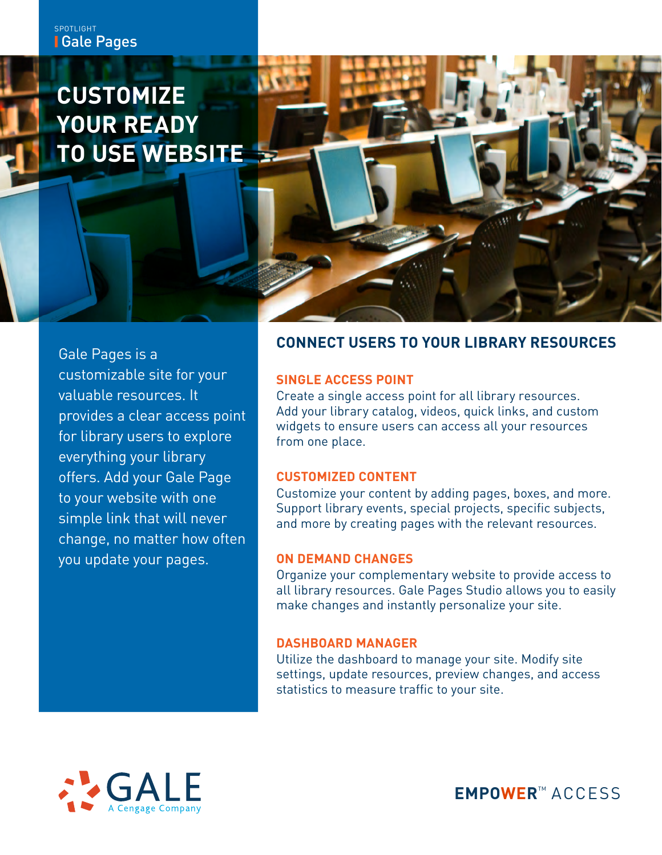# **CUSTOMIZE YOUR READY TO USE WEBSITE**

Gale Pages is a customizable site for your valuable resources. It provides a clear access point for library users to explore everything your library offers. Add your Gale Page to your website with one simple link that will never change, no matter how often you update your pages.

## **CONNECT USERS TO YOUR LIBRARY RESOURCES**

#### **SINGLE ACCESS POINT**

Create a single access point for all library resources. Add your library catalog, videos, quick links, and custom widgets to ensure users can access all your resources from one place.

### **CUSTOMIZED CONTENT**

Customize your content by adding pages, boxes, and more. Support library events, special projects, specific subjects, and more by creating pages with the relevant resources.

### **ON DEMAND CHANGES**

Organize your complementary website to provide access to all library resources. Gale Pages Studio allows you to easily make changes and instantly personalize your site.

### **DASHBOARD MANAGER**

Utilize the dashboard to manage your site. Modify site settings, update resources, preview changes, and access statistics to measure traffic to your site.



**EMPOWER**™ ACCESS